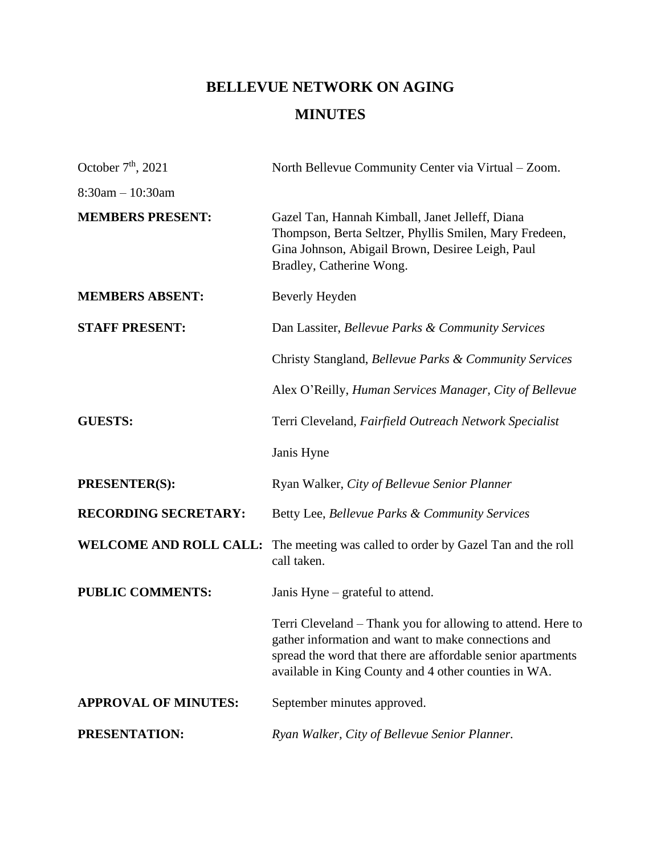# **BELLEVUE NETWORK ON AGING MINUTES**

| October $7th$ , 2021          | North Bellevue Community Center via Virtual – Zoom.                                                                                                                                                                                       |
|-------------------------------|-------------------------------------------------------------------------------------------------------------------------------------------------------------------------------------------------------------------------------------------|
| $8:30am - 10:30am$            |                                                                                                                                                                                                                                           |
| <b>MEMBERS PRESENT:</b>       | Gazel Tan, Hannah Kimball, Janet Jelleff, Diana<br>Thompson, Berta Seltzer, Phyllis Smilen, Mary Fredeen,<br>Gina Johnson, Abigail Brown, Desiree Leigh, Paul<br>Bradley, Catherine Wong.                                                 |
| <b>MEMBERS ABSENT:</b>        | Beverly Heyden                                                                                                                                                                                                                            |
| <b>STAFF PRESENT:</b>         | Dan Lassiter, Bellevue Parks & Community Services                                                                                                                                                                                         |
|                               | Christy Stangland, Bellevue Parks & Community Services                                                                                                                                                                                    |
|                               | Alex O'Reilly, Human Services Manager, City of Bellevue                                                                                                                                                                                   |
| <b>GUESTS:</b>                | Terri Cleveland, Fairfield Outreach Network Specialist                                                                                                                                                                                    |
|                               | Janis Hyne                                                                                                                                                                                                                                |
| <b>PRESENTER(S):</b>          | Ryan Walker, City of Bellevue Senior Planner                                                                                                                                                                                              |
| <b>RECORDING SECRETARY:</b>   | Betty Lee, Bellevue Parks & Community Services                                                                                                                                                                                            |
| <b>WELCOME AND ROLL CALL:</b> | The meeting was called to order by Gazel Tan and the roll<br>call taken.                                                                                                                                                                  |
| <b>PUBLIC COMMENTS:</b>       | Janis Hyne – grateful to attend.                                                                                                                                                                                                          |
|                               | Terri Cleveland – Thank you for allowing to attend. Here to<br>gather information and want to make connections and<br>spread the word that there are affordable senior apartments<br>available in King County and 4 other counties in WA. |
| <b>APPROVAL OF MINUTES:</b>   | September minutes approved.                                                                                                                                                                                                               |
| PRESENTATION:                 | Ryan Walker, City of Bellevue Senior Planner.                                                                                                                                                                                             |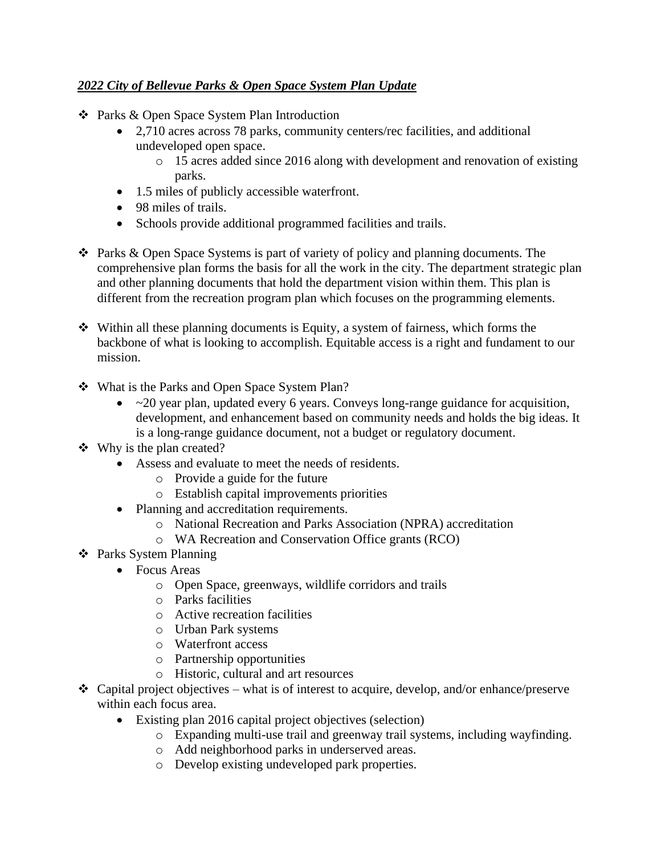## *2022 City of Bellevue Parks & Open Space System Plan Update*

- ❖ Parks & Open Space System Plan Introduction
	- 2,710 acres across 78 parks, community centers/rec facilities, and additional undeveloped open space.
		- o 15 acres added since 2016 along with development and renovation of existing parks.
	- 1.5 miles of publicly accessible waterfront.
	- 98 miles of trails.
	- Schools provide additional programmed facilities and trails.
- ❖ Parks & Open Space Systems is part of variety of policy and planning documents. The comprehensive plan forms the basis for all the work in the city. The department strategic plan and other planning documents that hold the department vision within them. This plan is different from the recreation program plan which focuses on the programming elements.
- ❖ Within all these planning documents is Equity, a system of fairness, which forms the backbone of what is looking to accomplish. Equitable access is a right and fundament to our mission.
- ❖ What is the Parks and Open Space System Plan?
	- ~20 year plan, updated every 6 years. Conveys long-range guidance for acquisition, development, and enhancement based on community needs and holds the big ideas. It is a long-range guidance document, not a budget or regulatory document.
- ❖ Why is the plan created?
	- Assess and evaluate to meet the needs of residents.
		- o Provide a guide for the future
		- o Establish capital improvements priorities
	- Planning and accreditation requirements.
		- o National Recreation and Parks Association (NPRA) accreditation
		- o WA Recreation and Conservation Office grants (RCO)
- ❖ Parks System Planning
	- Focus Areas
		- o Open Space, greenways, wildlife corridors and trails
		- o Parks facilities
		- o Active recreation facilities
		- o Urban Park systems
		- o Waterfront access
		- o Partnership opportunities
		- o Historic, cultural and art resources
- $\triangleleft$  Capital project objectives what is of interest to acquire, develop, and/or enhance/preserve within each focus area.
	- Existing plan 2016 capital project objectives (selection)
		- o Expanding multi-use trail and greenway trail systems, including wayfinding.
		- o Add neighborhood parks in underserved areas.
		- o Develop existing undeveloped park properties.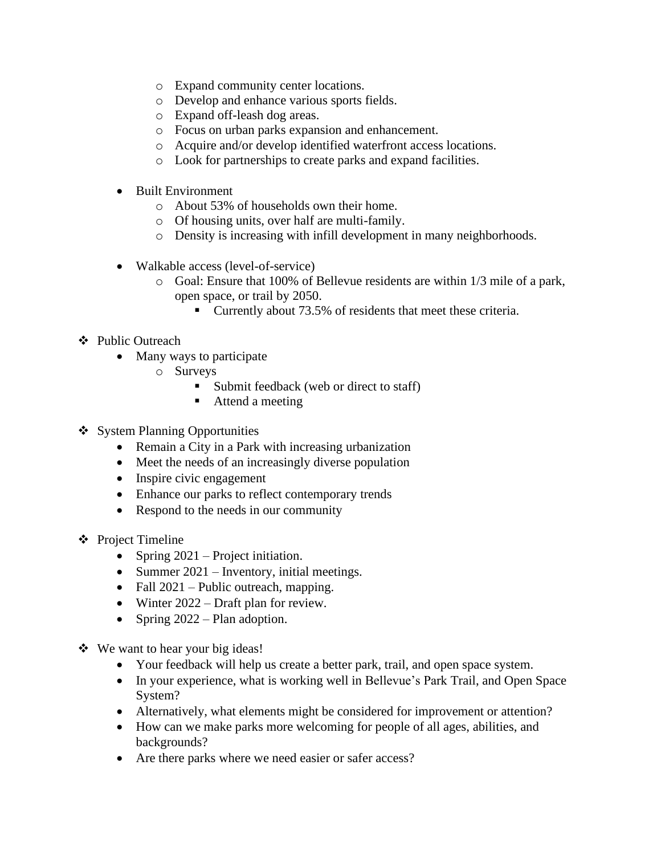- o Expand community center locations.
- o Develop and enhance various sports fields.
- o Expand off-leash dog areas.
- o Focus on urban parks expansion and enhancement.
- o Acquire and/or develop identified waterfront access locations.
- o Look for partnerships to create parks and expand facilities.
- Built Environment
	- o About 53% of households own their home.
	- o Of housing units, over half are multi-family.
	- o Density is increasing with infill development in many neighborhoods.
- Walkable access (level-of-service)
	- o Goal: Ensure that 100% of Bellevue residents are within 1/3 mile of a park, open space, or trail by 2050.
		- Currently about 73.5% of residents that meet these criteria.

#### ❖ Public Outreach

- Many ways to participate
	- o Surveys
		- Submit feedback (web or direct to staff)
		- Attend a meeting
- ❖ System Planning Opportunities
	- Remain a City in a Park with increasing urbanization
	- Meet the needs of an increasingly diverse population
	- Inspire civic engagement
	- Enhance our parks to reflect contemporary trends
	- Respond to the needs in our community
- ❖ Project Timeline
	- Spring 2021 Project initiation.
	- Summer 2021 Inventory, initial meetings.
	- Fall 2021 Public outreach, mapping.
	- Winter 2022 Draft plan for review.
	- Spring 2022 Plan adoption.
- ❖ We want to hear your big ideas!
	- Your feedback will help us create a better park, trail, and open space system.
	- In your experience, what is working well in Bellevue's Park Trail, and Open Space System?
	- Alternatively, what elements might be considered for improvement or attention?
	- How can we make parks more welcoming for people of all ages, abilities, and backgrounds?
	- Are there parks where we need easier or safer access?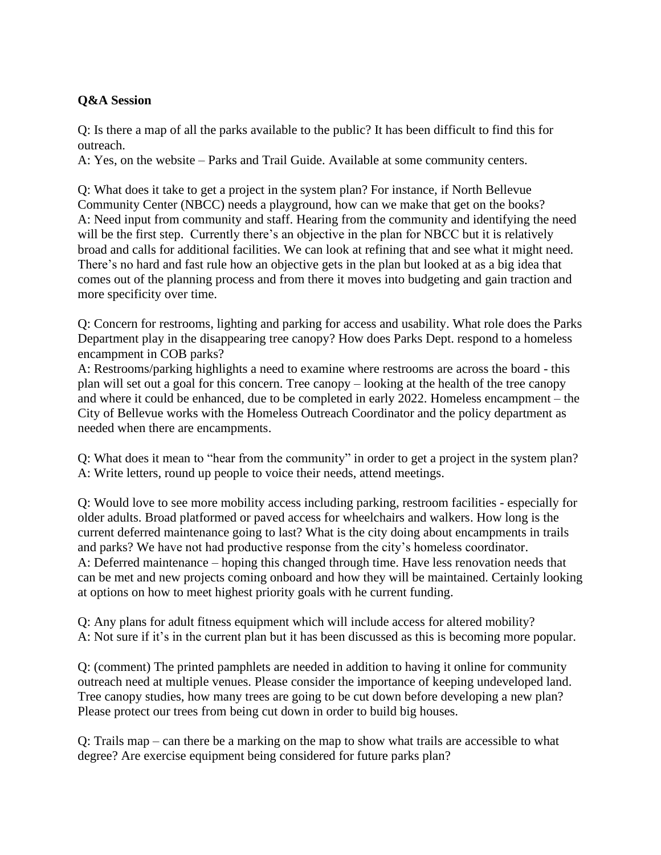## **Q&A Session**

Q: Is there a map of all the parks available to the public? It has been difficult to find this for outreach.

A: Yes, on the website – Parks and Trail Guide. Available at some community centers.

Q: What does it take to get a project in the system plan? For instance, if North Bellevue Community Center (NBCC) needs a playground, how can we make that get on the books? A: Need input from community and staff. Hearing from the community and identifying the need will be the first step. Currently there's an objective in the plan for NBCC but it is relatively broad and calls for additional facilities. We can look at refining that and see what it might need. There's no hard and fast rule how an objective gets in the plan but looked at as a big idea that comes out of the planning process and from there it moves into budgeting and gain traction and more specificity over time.

Q: Concern for restrooms, lighting and parking for access and usability. What role does the Parks Department play in the disappearing tree canopy? How does Parks Dept. respond to a homeless encampment in COB parks?

A: Restrooms/parking highlights a need to examine where restrooms are across the board - this plan will set out a goal for this concern. Tree canopy – looking at the health of the tree canopy and where it could be enhanced, due to be completed in early 2022. Homeless encampment – the City of Bellevue works with the Homeless Outreach Coordinator and the policy department as needed when there are encampments.

Q: What does it mean to "hear from the community" in order to get a project in the system plan? A: Write letters, round up people to voice their needs, attend meetings.

Q: Would love to see more mobility access including parking, restroom facilities - especially for older adults. Broad platformed or paved access for wheelchairs and walkers. How long is the current deferred maintenance going to last? What is the city doing about encampments in trails and parks? We have not had productive response from the city's homeless coordinator. A: Deferred maintenance – hoping this changed through time. Have less renovation needs that can be met and new projects coming onboard and how they will be maintained. Certainly looking at options on how to meet highest priority goals with he current funding.

Q: Any plans for adult fitness equipment which will include access for altered mobility? A: Not sure if it's in the current plan but it has been discussed as this is becoming more popular.

Q: (comment) The printed pamphlets are needed in addition to having it online for community outreach need at multiple venues. Please consider the importance of keeping undeveloped land. Tree canopy studies, how many trees are going to be cut down before developing a new plan? Please protect our trees from being cut down in order to build big houses.

Q: Trails map – can there be a marking on the map to show what trails are accessible to what degree? Are exercise equipment being considered for future parks plan?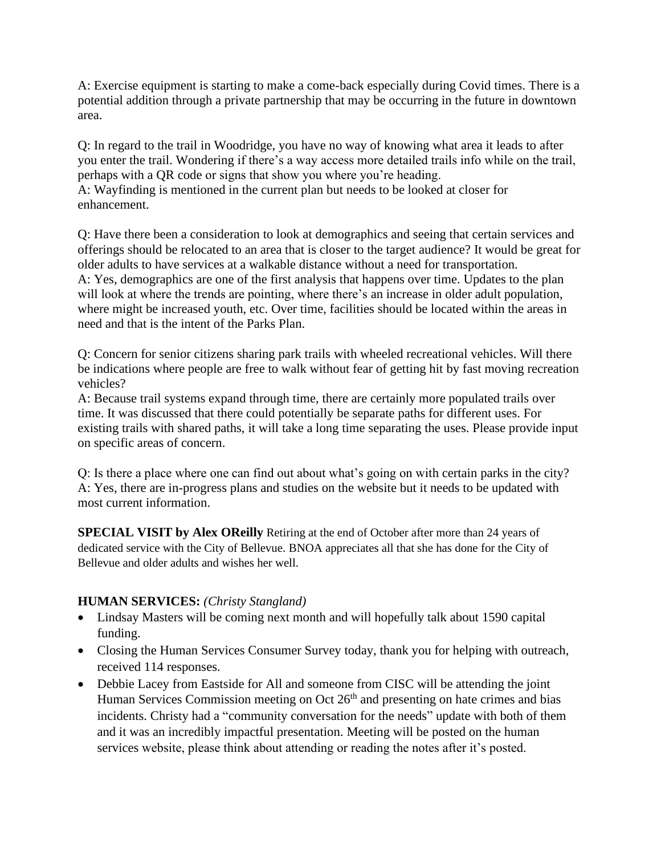A: Exercise equipment is starting to make a come-back especially during Covid times. There is a potential addition through a private partnership that may be occurring in the future in downtown area.

Q: In regard to the trail in Woodridge, you have no way of knowing what area it leads to after you enter the trail. Wondering if there's a way access more detailed trails info while on the trail, perhaps with a QR code or signs that show you where you're heading. A: Wayfinding is mentioned in the current plan but needs to be looked at closer for enhancement.

Q: Have there been a consideration to look at demographics and seeing that certain services and offerings should be relocated to an area that is closer to the target audience? It would be great for older adults to have services at a walkable distance without a need for transportation. A: Yes, demographics are one of the first analysis that happens over time. Updates to the plan will look at where the trends are pointing, where there's an increase in older adult population, where might be increased youth, etc. Over time, facilities should be located within the areas in need and that is the intent of the Parks Plan.

Q: Concern for senior citizens sharing park trails with wheeled recreational vehicles. Will there be indications where people are free to walk without fear of getting hit by fast moving recreation vehicles?

A: Because trail systems expand through time, there are certainly more populated trails over time. It was discussed that there could potentially be separate paths for different uses. For existing trails with shared paths, it will take a long time separating the uses. Please provide input on specific areas of concern.

Q: Is there a place where one can find out about what's going on with certain parks in the city? A: Yes, there are in-progress plans and studies on the website but it needs to be updated with most current information.

**SPECIAL VISIT by Alex OReilly** Retiring at the end of October after more than 24 years of dedicated service with the City of Bellevue. BNOA appreciates all that she has done for the City of Bellevue and older adults and wishes her well.

#### **HUMAN SERVICES:** *(Christy Stangland)*

- Lindsay Masters will be coming next month and will hopefully talk about 1590 capital funding.
- Closing the Human Services Consumer Survey today, thank you for helping with outreach, received 114 responses.
- Debbie Lacey from Eastside for All and someone from CISC will be attending the joint Human Services Commission meeting on Oct  $26<sup>th</sup>$  and presenting on hate crimes and bias incidents. Christy had a "community conversation for the needs" update with both of them and it was an incredibly impactful presentation. Meeting will be posted on the human services website, please think about attending or reading the notes after it's posted.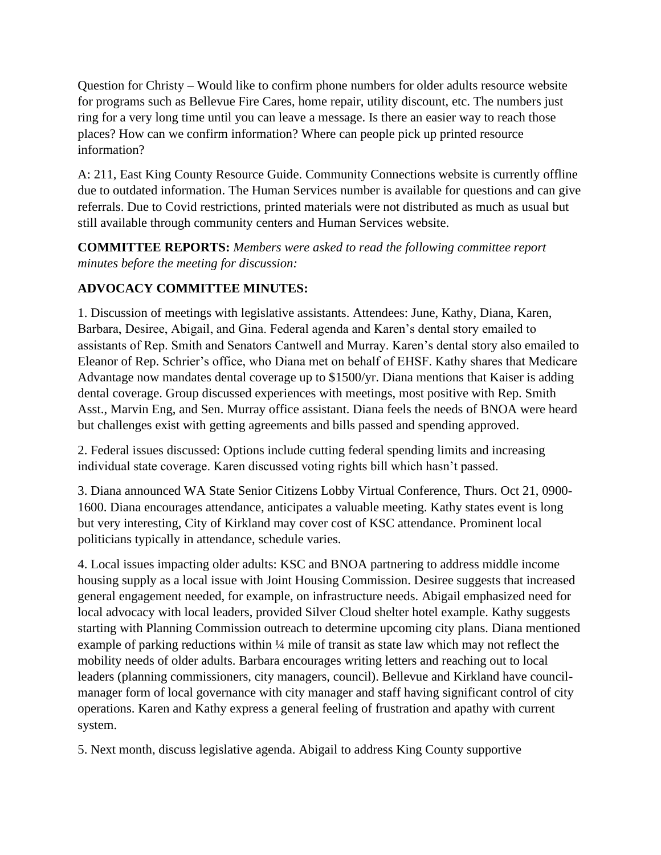Question for Christy – Would like to confirm phone numbers for older adults resource website for programs such as Bellevue Fire Cares, home repair, utility discount, etc. The numbers just ring for a very long time until you can leave a message. Is there an easier way to reach those places? How can we confirm information? Where can people pick up printed resource information?

A: 211, East King County Resource Guide. Community Connections website is currently offline due to outdated information. The Human Services number is available for questions and can give referrals. Due to Covid restrictions, printed materials were not distributed as much as usual but still available through community centers and Human Services website.

**COMMITTEE REPORTS:** *Members were asked to read the following committee report minutes before the meeting for discussion:* 

## **ADVOCACY COMMITTEE MINUTES:**

1. Discussion of meetings with legislative assistants. Attendees: June, Kathy, Diana, Karen, Barbara, Desiree, Abigail, and Gina. Federal agenda and Karen's dental story emailed to assistants of Rep. Smith and Senators Cantwell and Murray. Karen's dental story also emailed to Eleanor of Rep. Schrier's office, who Diana met on behalf of EHSF. Kathy shares that Medicare Advantage now mandates dental coverage up to \$1500/yr. Diana mentions that Kaiser is adding dental coverage. Group discussed experiences with meetings, most positive with Rep. Smith Asst., Marvin Eng, and Sen. Murray office assistant. Diana feels the needs of BNOA were heard but challenges exist with getting agreements and bills passed and spending approved.

2. Federal issues discussed: Options include cutting federal spending limits and increasing individual state coverage. Karen discussed voting rights bill which hasn't passed.

3. Diana announced WA State Senior Citizens Lobby Virtual Conference, Thurs. Oct 21, 0900- 1600. Diana encourages attendance, anticipates a valuable meeting. Kathy states event is long but very interesting, City of Kirkland may cover cost of KSC attendance. Prominent local politicians typically in attendance, schedule varies.

4. Local issues impacting older adults: KSC and BNOA partnering to address middle income housing supply as a local issue with Joint Housing Commission. Desiree suggests that increased general engagement needed, for example, on infrastructure needs. Abigail emphasized need for local advocacy with local leaders, provided Silver Cloud shelter hotel example. Kathy suggests starting with Planning Commission outreach to determine upcoming city plans. Diana mentioned example of parking reductions within ¼ mile of transit as state law which may not reflect the mobility needs of older adults. Barbara encourages writing letters and reaching out to local leaders (planning commissioners, city managers, council). Bellevue and Kirkland have councilmanager form of local governance with city manager and staff having significant control of city operations. Karen and Kathy express a general feeling of frustration and apathy with current system.

5. Next month, discuss legislative agenda. Abigail to address King County supportive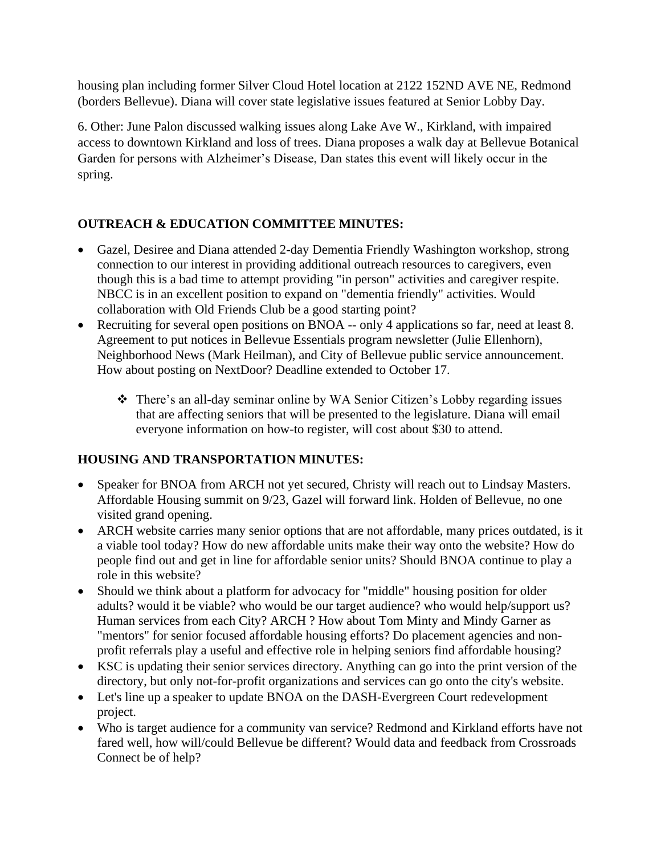housing plan including former Silver Cloud Hotel location at 2122 152ND AVE NE, Redmond (borders Bellevue). Diana will cover state legislative issues featured at Senior Lobby Day.

6. Other: June Palon discussed walking issues along Lake Ave W., Kirkland, with impaired access to downtown Kirkland and loss of trees. Diana proposes a walk day at Bellevue Botanical Garden for persons with Alzheimer's Disease, Dan states this event will likely occur in the spring.

# **OUTREACH & EDUCATION COMMITTEE MINUTES:**

- Gazel, Desiree and Diana attended 2-day Dementia Friendly Washington workshop, strong connection to our interest in providing additional outreach resources to caregivers, even though this is a bad time to attempt providing "in person" activities and caregiver respite. NBCC is in an excellent position to expand on "dementia friendly" activities. Would collaboration with Old Friends Club be a good starting point?
- Recruiting for several open positions on BNOA -- only 4 applications so far, need at least 8. Agreement to put notices in Bellevue Essentials program newsletter (Julie Ellenhorn), Neighborhood News (Mark Heilman), and City of Bellevue public service announcement. How about posting on NextDoor? Deadline extended to October 17.
	- ❖ There's an all-day seminar online by WA Senior Citizen's Lobby regarding issues that are affecting seniors that will be presented to the legislature. Diana will email everyone information on how-to register, will cost about \$30 to attend.

# **HOUSING AND TRANSPORTATION MINUTES:**

- Speaker for BNOA from ARCH not yet secured, Christy will reach out to Lindsay Masters. Affordable Housing summit on 9/23, Gazel will forward link. Holden of Bellevue, no one visited grand opening.
- ARCH website carries many senior options that are not affordable, many prices outdated, is it a viable tool today? How do new affordable units make their way onto the website? How do people find out and get in line for affordable senior units? Should BNOA continue to play a role in this website?
- Should we think about a platform for advocacy for "middle" housing position for older adults? would it be viable? who would be our target audience? who would help/support us? Human services from each City? ARCH ? How about Tom Minty and Mindy Garner as "mentors" for senior focused affordable housing efforts? Do placement agencies and nonprofit referrals play a useful and effective role in helping seniors find affordable housing?
- KSC is updating their senior services directory. Anything can go into the print version of the directory, but only not-for-profit organizations and services can go onto the city's website.
- Let's line up a speaker to update BNOA on the DASH-Evergreen Court redevelopment project.
- Who is target audience for a community van service? Redmond and Kirkland efforts have not fared well, how will/could Bellevue be different? Would data and feedback from Crossroads Connect be of help?